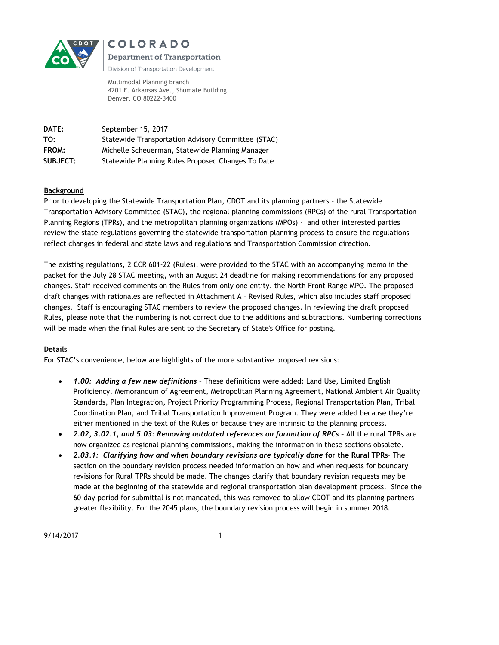



Division of Transportation Development

Multimodal Planning Branch 4201 E. Arkansas Ave., Shumate Building Denver, CO 80222-3400

**DATE:** September 15, 2017 **TO:** Statewide Transportation Advisory Committee (STAC) **FROM:** Michelle Scheuerman, Statewide Planning Manager **SUBJECT:** Statewide Planning Rules Proposed Changes To Date

# **Background**

Prior to developing the Statewide Transportation Plan, CDOT and its planning partners – the Statewide Transportation Advisory Committee (STAC), the regional planning commissions (RPCs) of the rural Transportation Planning Regions (TPRs), and the metropolitan planning organizations (MPOs) - and other interested parties review the state regulations governing the statewide transportation planning process to ensure the regulations reflect changes in federal and state laws and regulations and Transportation Commission direction.

The existing regulations, 2 CCR 601-22 (Rules), were provided to the STAC with an accompanying memo in the packet for the July 28 STAC meeting, with an August 24 deadline for making recommendations for any proposed changes. Staff received comments on the Rules from only one entity, the North Front Range MPO. The proposed draft changes with rationales are reflected in Attachment A – Revised Rules, which also includes staff proposed changes. Staff is encouraging STAC members to review the proposed changes. In reviewing the draft proposed Rules, please note that the numbering is not correct due to the additions and subtractions. Numbering corrections will be made when the final Rules are sent to the Secretary of State's Office for posting.

# **Details**

For STAC's convenience, below are highlights of the more substantive proposed revisions:

- *1.00: Adding a few new definitions –* These definitions were added: Land Use, Limited English Proficiency, Memorandum of Agreement, Metropolitan Planning Agreement, National Ambient Air Quality Standards, Plan Integration, Project Priority Programming Process, Regional Transportation Plan, Tribal Coordination Plan, and Tribal Transportation Improvement Program. They were added because they're either mentioned in the text of the Rules or because they are intrinsic to the planning process.
- *2.02, 3.02.1, and 5.03: Removing outdated references on formation of RPCs –* All the rural TPRs are now organized as regional planning commissions, making the information in these sections obsolete.
- *2.03.1: Clarifying how and when boundary revisions are typically done* **for the Rural TPRs***–* The section on the boundary revision process needed information on how and when requests for boundary revisions for Rural TPRs should be made. The changes clarify that boundary revision requests may be made at the beginning of the statewide and regional transportation plan development process. Since the 60-day period for submittal is not mandated, this was removed to allow CDOT and its planning partners greater flexibility. For the 2045 plans, the boundary revision process will begin in summer 2018.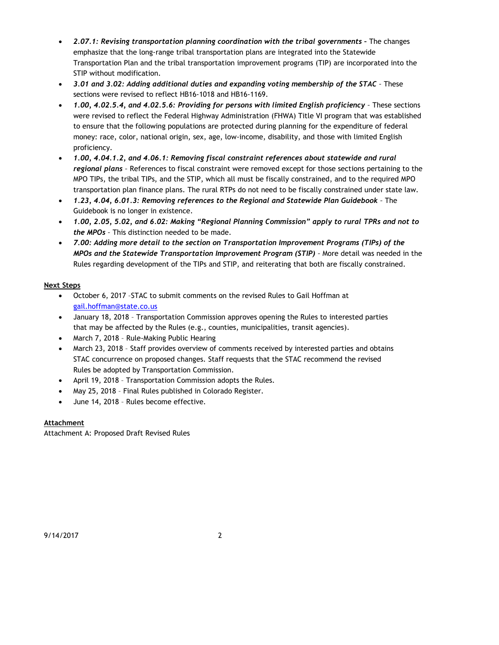- *2.07.1: Revising transportation planning coordination with the tribal governments The changes* emphasize that the long-range tribal transportation plans are integrated into the Statewide Transportation Plan and the tribal transportation improvement programs (TIP) are incorporated into the STIP without modification.
- *3.01 and 3.02: Adding additional duties and expanding voting membership of the STAC –* These sections were revised to reflect HB16-1018 and HB16-1169.
- *1.00, 4.02.5.4, and 4.02.5.6: Providing for persons with limited English proficiency –* These sections were revised to reflect the Federal Highway Administration (FHWA) Title VI program that was established to ensure that the following populations are protected during planning for the expenditure of federal money: race, color, national origin, sex, age, low-income, disability, and those with limited English proficiency.
- *1.00, 4.04.1.2, and 4.06.1: Removing fiscal constraint references about statewide and rural regional plans –* References to fiscal constraint were removed except for those sections pertaining to the MPO TIPs, the tribal TIPs, and the STIP, which all must be fiscally constrained, and to the required MPO transportation plan finance plans. The rural RTPs do not need to be fiscally constrained under state law.
- *1.23, 4.04, 6.01.3: Removing references to the Regional and Statewide Plan Guidebook –* The Guidebook is no longer in existence.
- *1.00, 2.05, 5.02, and 6.02: Making "Regional Planning Commission" apply to rural TPRs and not to the MPOs –* This distinction needed to be made.
- *7.00: Adding more detail to the section on Transportation Improvement Programs (TIPs) of the MPOs and the Statewide Transportation Improvement Program (STIP) –* More detail was needed in the Rules regarding development of the TIPs and STIP, and reiterating that both are fiscally constrained.

# **Next Steps**

- October 6, 2017 –STAC to submit comments on the revised Rules to Gail Hoffman at [gail.hoffman@state.co.us](mailto:gail.hoffman@state.co.us)
- January 18, 2018 Transportation Commission approves opening the Rules to interested parties that may be affected by the Rules (e.g., counties, municipalities, transit agencies).
- March 7, 2018 Rule-Making Public Hearing
- March 23, 2018 Staff provides overview of comments received by interested parties and obtains STAC concurrence on proposed changes. Staff requests that the STAC recommend the revised Rules be adopted by Transportation Commission.
- April 19, 2018 Transportation Commission adopts the Rules.
- May 25, 2018 Final Rules published in Colorado Register.
- June 14, 2018 Rules become effective.

# **Attachment**

Attachment A: Proposed Draft Revised Rules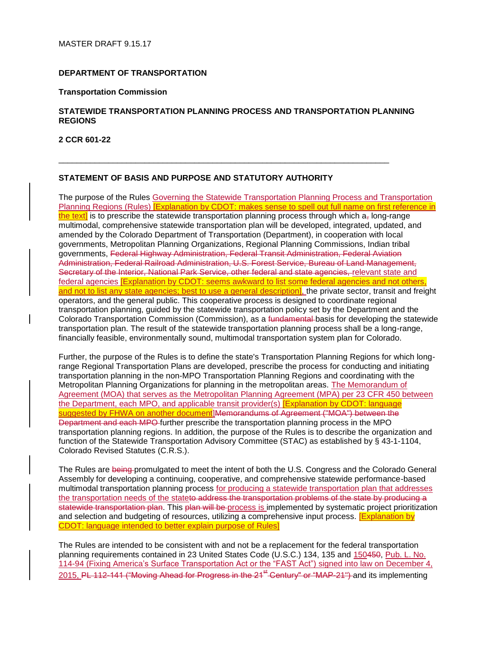#### **DEPARTMENT OF TRANSPORTATION**

#### **Transportation Commission**

# **STATEWIDE TRANSPORTATION PLANNING PROCESS AND TRANSPORTATION PLANNING REGIONS**

\_\_\_\_\_\_\_\_\_\_\_\_\_\_\_\_\_\_\_\_\_\_\_\_\_\_\_\_\_\_\_\_\_\_\_\_\_\_\_\_\_\_\_\_\_\_\_\_\_\_\_\_\_\_\_\_\_\_\_\_\_\_\_\_\_\_\_\_\_\_\_\_\_

**2 CCR 601-22**

#### **STATEMENT OF BASIS AND PURPOSE AND STATUTORY AUTHORITY**

The purpose of the Rules Governing the Statewide Transportation Planning Process and Transportation Planning Regions (Rules) **[Explanation by CDOT: makes sense to spell out full name on first reference in** the text] is to prescribe the statewide transportation planning process through which  $a<sub>z</sub>$  long-range multimodal, comprehensive statewide transportation plan will be developed, integrated, updated, and amended by the Colorado Department of Transportation (Department), in cooperation with local governments, Metropolitan Planning Organizations, Regional Planning Commissions, Indian tribal governments, Federal Highway Administration, Federal Transit Administration, Federal Aviation Administration, Federal Railroad Administration, U.S. Forest Service, Bureau of Land Management, Secretary of the Interior, National Park Service, other federal and state agencies, relevant state and federal agencies [Explanation by CDOT: seems awkward to list some federal agencies and not others, and not to list any state agencies; best to use a general description], the private sector, transit and freight operators, and the general public. This cooperative process is designed to coordinate regional transportation planning, guided by the statewide transportation policy set by the Department and the Colorado Transportation Commission (Commission), as a fundamental basis for developing the statewide transportation plan. The result of the statewide transportation planning process shall be a long-range, financially feasible, environmentally sound, multimodal transportation system plan for Colorado.

Further, the purpose of the Rules is to define the state's Transportation Planning Regions for which longrange Regional Transportation Plans are developed, prescribe the process for conducting and initiating transportation planning in the non-MPO Transportation Planning Regions and coordinating with the Metropolitan Planning Organizations for planning in the metropolitan areas. The Memorandum of Agreement (MOA) that serves as the Metropolitan Planning Agreement (MPA) per 23 CFR 450 between the Department, each MPO, and applicable transit provider(s) [Explanation by CDOT: language suggested by FHWA on another document]Memorandums of Agreement ("MOA") between the Department and each MPO further prescribe the transportation planning process in the MPO transportation planning regions. In addition, the purpose of the Rules is to describe the organization and function of the Statewide Transportation Advisory Committee (STAC) as established by § 43-1-1104, Colorado Revised Statutes (C.R.S.).

The Rules are being-promulgated to meet the intent of both the U.S. Congress and the Colorado General Assembly for developing a continuing, cooperative, and comprehensive statewide performance-based multimodal transportation planning process for producing a statewide transportation plan that addresses the transportation needs of the stateto address the transportation problems of the state by producing a statewide transportation plan. This plan will be process is implemented by systematic project prioritization and selection and budgeting of resources, utilizing a comprehensive input process. **[Explanation by** CDOT: language intended to better explain purpose of Rules]

The Rules are intended to be consistent with and not be a replacement for the federal transportation planning requirements contained in 23 United States Code (U.S.C.) 134, 135 and 150450, Pub. L. No. 114-94 (Fixing America's Surface Transportation Act or the "FAST Act") signed into law on December 4, 2015, PL 112-141 ("Moving Ahead for Progress in the 21<sup>st</sup> Century" or "MAP-21") and its implementing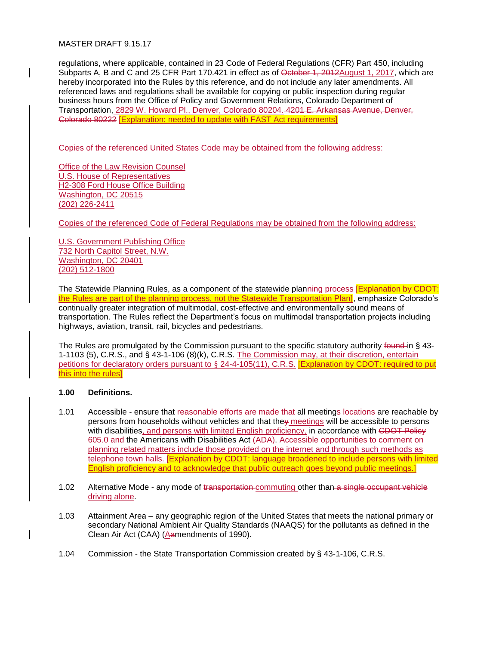### MASTER DRAFT 9.15.17

regulations, where applicable, contained in 23 Code of Federal Regulations (CFR) Part 450, including Subparts A, B and C and 25 CFR Part 170.421 in effect as of <del>October 1, 2012</del>August 1, 2017, which are hereby incorporated into the Rules by this reference, and do not include any later amendments. All referenced laws and regulations shall be available for copying or public inspection during regular business hours from the Office of Policy and Government Relations, Colorado Department of Transportation, 2829 W. Howard Pl., Denver, Colorado 80204. 4201 E. Arkansas Avenue, Denver, Colorado 80222 [Explanation: needed to update with FAST Act requirements]

Copies of the referenced United States Code may be obtained from the following address:

Office of the Law Revision Counsel U.S. House of Representatives H2-308 Ford House Office Building Washington, DC 20515 (202) 226-2411

Copies of the referenced Code of Federal Regulations may be obtained from the following address:

U.S. Government Publishing Office 732 North Capitol Street, N.W. Washington, DC 20401 (202) 512-1800

The Statewide Planning Rules, as a component of the statewide planning process **[Explanation by CDOT:** the Rules are part of the planning process, not the Statewide Transportation Plan], emphasize Colorado's continually greater integration of multimodal, cost-effective and environmentally sound means of transportation. The Rules reflect the Department's focus on multimodal transportation projects including highways, aviation, transit, rail, bicycles and pedestrians.

The Rules are promulgated by the Commission pursuant to the specific statutory authority found in § 43-1-1103 (5), C.R.S., and § 43-1-106 (8)(k), C.R.S. The Commission may, at their discretion, entertain petitions for declaratory orders pursuant to § 24-4-105(11), C.R.S. [Explanation by CDOT: required to put this into the rules]

# **1.00 Definitions.**

- 1.01 Accessible ensure that reasonable efforts are made that all meetings locations are reachable by persons from households without vehicles and that they meetings will be accessible to persons with disabilities, and persons with limited English proficiency, in accordance with CDOT Policy 605.0 and the Americans with Disabilities Act (ADA). Accessible opportunities to comment on planning related matters include those provided on the internet and through such methods as telephone town halls. [Explanation by CDOT: language broadened to include persons with limited English proficiency and to acknowledge that public outreach goes beyond public meetings.]
- 1.02 Alternative Mode any mode of transportation commuting other than a single occupant vehicle driving alone.
- 1.03 Attainment Area any geographic region of the United States that meets the national primary or secondary National Ambient Air Quality Standards (NAAQS) for the pollutants as defined in the Clean Air Act (CAA) (Aamendments of 1990).
- 1.04 Commission the State Transportation Commission created by § 43-1-106, C.R.S.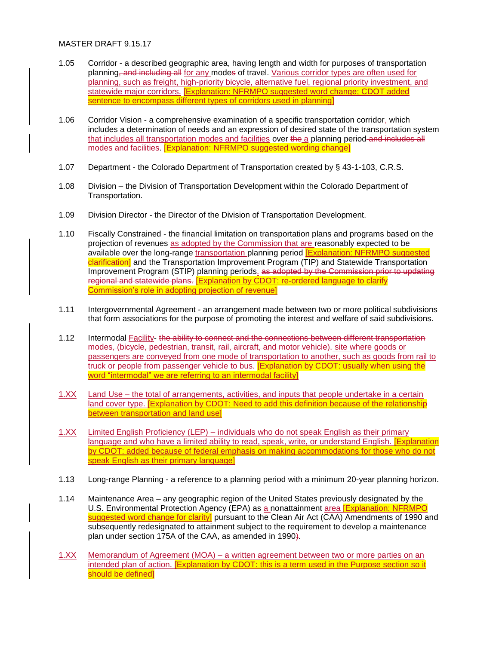- 1.05 Corridor a described geographic area, having length and width for purposes of transportation planning<del>, and including all</del> for any modes of travel. Various corridor types are often used for planning, such as freight, high-priority bicycle, alternative fuel, regional priority investment, and statewide major corridors. **[Explanation: NFRMPO suggested word change; CDOT added** sentence to encompass different types of corridors used in planning]
- 1.06 Corridor Vision a comprehensive examination of a specific transportation corridor, which includes a determination of needs and an expression of desired state of the transportation system that includes all transportation modes and facilities over the a planning period-and includes all modes and facilities. [Explanation: NFRMPO suggested wording change]
- 1.07 Department the Colorado Department of Transportation created by § 43-1-103, C.R.S.
- 1.08 Division the Division of Transportation Development within the Colorado Department of Transportation.
- 1.09 Division Director the Director of the Division of Transportation Development.
- 1.10 Fiscally Constrained the financial limitation on transportation plans and programs based on the projection of revenues as adopted by the Commission that are reasonably expected to be available over the long-range transportation planning period **[Explanation: NFRMPO suggested** clarification] and the Transportation Improvement Program (TIP) and Statewide Transportation Improvement Program (STIP) planning periods. as adopted by the Commission prior to updating regional and statewide plans. [Explanation by CDOT: re-ordered language to clarify Commission's role in adopting projection of revenue]
- 1.11 Intergovernmental Agreement an arrangement made between two or more political subdivisions that form associations for the purpose of promoting the interest and welfare of said subdivisions.
- 1.12 Intermodal Facility- the ability to connect and the connections between different transportation modes, (bicycle, pedestrian, transit, rail, aircraft, and motor vehicle). site where goods or passengers are conveyed from one mode of transportation to another, such as goods from rail to truck or people from passenger vehicle to bus. [Explanation by CDOT: usually when using the word "intermodal" we are referring to an intermodal facility]
- 1.XX Land Use the total of arrangements, activities, and inputs that people undertake in a certain land cover type. **[Explanation by CDOT: Need to add this definition because of the relationship** between transportation and land use]
- 1.XX Limited English Proficiency (LEP) individuals who do not speak English as their primary language and who have a limited ability to read, speak, write, or understand English. [Explanation] by CDOT: added because of federal emphasis on making accommodations for those who do not speak English as their primary language]
- 1.13 Long-range Planning a reference to a planning period with a minimum 20-year planning horizon.
- 1.14 Maintenance Area any geographic region of the United States previously designated by the U.S. Environmental Protection Agency (EPA) as a nonattainment area **[Explanation: NFRMPO** suggested word change for clarity] pursuant to the Clean Air Act (CAA) Amendments of 1990 and subsequently redesignated to attainment subject to the requirement to develop a maintenance plan under section 175A of the CAA, as amended in 1990).
- 1.XX Memorandum of Agreement (MOA) a written agreement between two or more parties on an intended plan of action. **[Explanation by CDOT: this is a term used in the Purpose section so it** should be defined]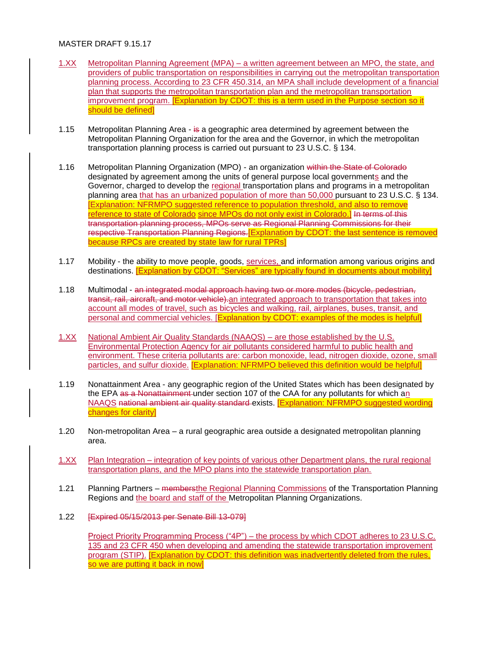### MASTER DRAFT 9 15 17

- 1.XX Metropolitan Planning Agreement (MPA) a written agreement between an MPO, the state, and providers of public transportation on responsibilities in carrying out the metropolitan transportation planning process. According to 23 CFR 450.314, an MPA shall include development of a financial plan that supports the metropolitan transportation plan and the metropolitan transportation improvement program. [Explanation by CDOT: this is a term used in the Purpose section so it should be defined]
- 1.15 Metropolitan Planning Area is a geographic area determined by agreement between the Metropolitan Planning Organization for the area and the Governor, in which the metropolitan transportation planning process is carried out pursuant to 23 U.S.C. § 134.
- 1.16 Metropolitan Planning Organization (MPO) an organization within the State of Colorado designated by agreement among the units of general purpose local governments and the Governor, charged to develop the regional transportation plans and programs in a metropolitan planning area that has an urbanized population of more than 50,000 pursuant to 23 U.S.C. § 134. [Explanation: NFRMPO suggested reference to population threshold, and also to remove reference to state of Colorado since MPOs do not only exist in Colorado.] In terms of this transportation planning process, MPOs serve as Regional Planning Commissions for their respective Transportation Planning Regions. [Explanation by CDOT: the last sentence is removed because RPCs are created by state law for rural TPRs]
- 1.17 Mobility the ability to move people, goods, services, and information among various origins and destinations. [Explanation by CDOT: "Services" are typically found in documents about mobility]
- 1.18 Multimodal an integrated modal approach having two or more modes (bicycle, pedestrian, transit, rail, aircraft, and motor vehicle) an integrated approach to transportation that takes into account all modes of travel, such as bicycles and walking, rail, airplanes, buses, transit, and personal and commercial vehicles. [Explanation by CDOT: examples of the modes is helpful]
- 1.XX National Ambient Air Quality Standards (NAAQS) are those established by the U.S. Environmental Protection Agency for air pollutants considered harmful to public health and environment. These criteria pollutants are: carbon monoxide, lead, nitrogen dioxide, ozone, small particles, and sulfur dioxide. **[Explanation: NFRMPO believed this definition would be helpful]**
- 1.19 Nonattainment Area any geographic region of the United States which has been designated by the EPA as a Nonattainment-under section 107 of the CAA for any pollutants for which an NAAQS national ambient air quality standard exists. **[Explanation: NFRMPO suggested wording** changes for clarity]
- 1.20 Non-metropolitan Area a rural geographic area outside a designated metropolitan planning area.
- 1.XX Plan Integration integration of key points of various other Department plans, the rural regional transportation plans, and the MPO plans into the statewide transportation plan.
- 1.21 Planning Partners membersthe Regional Planning Commissions of the Transportation Planning Regions and the board and staff of the Metropolitan Planning Organizations.
- 1.22 [Expired 05/15/2013 per Senate Bill 13-079]

Project Priority Programming Process ("4P") – the process by which CDOT adheres to 23 U.S.C. 135 and 23 CFR 450 when developing and amending the statewide transportation improvement program (STIP). [Explanation by CDOT: this definition was inadvertently deleted from the rules, so we are putting it back in now]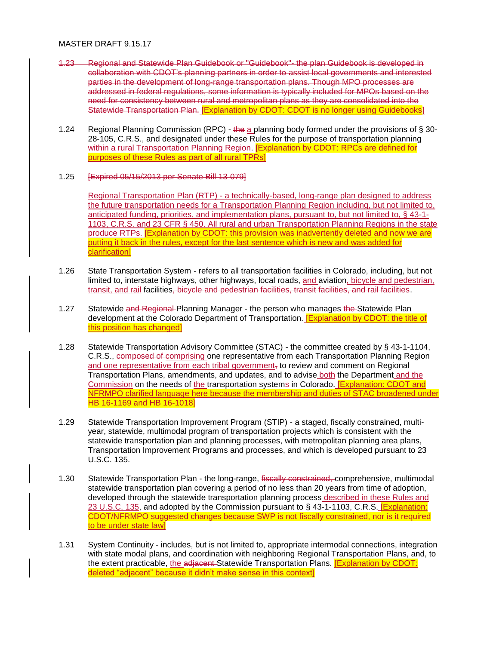### MASTER DRAFT 9.15.17

- 1.23 Regional and Statewide Plan Guidebook or "Guidebook"- the plan Guidebook is developed in collaboration with CDOT's planning partners in order to assist local governments and interested parties in the development of long-range transportation plans. Though MPO processes are addressed in federal regulations, some information is typically included for MPOs based on the need for consistency between rural and metropolitan plans as they are consolidated into the Statewide Transportation Plan. [Explanation by CDOT: CDOT is no longer using Guidebooks]
- 1.24 Regional Planning Commission (RPC) the a planning body formed under the provisions of § 30-28-105, C.R.S., and designated under these Rules for the purpose of transportation planning within a rural Transportation Planning Region. **[Explanation by CDOT: RPCs are defined for** purposes of these Rules as part of all rural TPRs]

# 1.25 [Expired 05/15/2013 per Senate Bill 13-079]

Regional Transportation Plan (RTP) - a technically-based, long-range plan designed to address the future transportation needs for a Transportation Planning Region including, but not limited to, anticipated funding, priorities, and implementation plans, pursuant to, but not limited to, § 43-1- 1103, C.R.S. and 23 CFR § 450. All rural and urban Transportation Planning Regions in the state produce RTPs. **[Explanation by CDOT: this provision was inadvertently deleted and now we are** putting it back in the rules, except for the last sentence which is new and was added for clarification]

- 1.26 State Transportation System refers to all transportation facilities in Colorado, including, but not limited to, interstate highways, other highways, local roads, and aviation, bicycle and pedestrian, transit, and rail facilities, bicycle and pedestrian facilities, transit facilities, and rail facilities.
- 1.27 Statewide and Regional Planning Manager the person who manages the Statewide Plan development at the Colorado Department of Transportation. **[Explanation by CDOT: the title of** this position has changed]
- 1.28 Statewide Transportation Advisory Committee (STAC) the committee created by § 43-1-1104, C.R.S., composed of comprising one representative from each Transportation Planning Region and one representative from each tribal government, to review and comment on Regional Transportation Plans, amendments, and updates, and to advise both the Department and the Commission on the needs of the transportation systems in Colorado. [Explanation: CDOT and NFRMPO clarified language here because the membership and duties of STAC broadened under HB 16-1169 and HB 16-1018]
- 1.29 Statewide Transportation Improvement Program (STIP) a staged, fiscally constrained, multiyear, statewide, multimodal program of transportation projects which is consistent with the statewide transportation plan and planning processes, with metropolitan planning area plans, Transportation Improvement Programs and processes, and which is developed pursuant to 23 U.S.C. 135.
- 1.30 Statewide Transportation Plan the long-range, fiscally constrained, comprehensive, multimodal statewide transportation plan covering a period of no less than 20 years from time of adoption, developed through the statewide transportation planning process described in these Rules and 23 U.S.C. 135, and adopted by the Commission pursuant to § 43-1-1103, C.R.S. **[Explanation:** CDOT/NFRMPO suggested changes because SWP is not fiscally constrained, nor is it required to be under state law]
- 1.31 System Continuity includes, but is not limited to, appropriate intermodal connections, integration with state modal plans, and coordination with neighboring Regional Transportation Plans, and, to the extent practicable, the adjacent-Statewide Transportation Plans. **[Explanation by CDOT:** deleted "adjacent" because it didn't make sense in this context]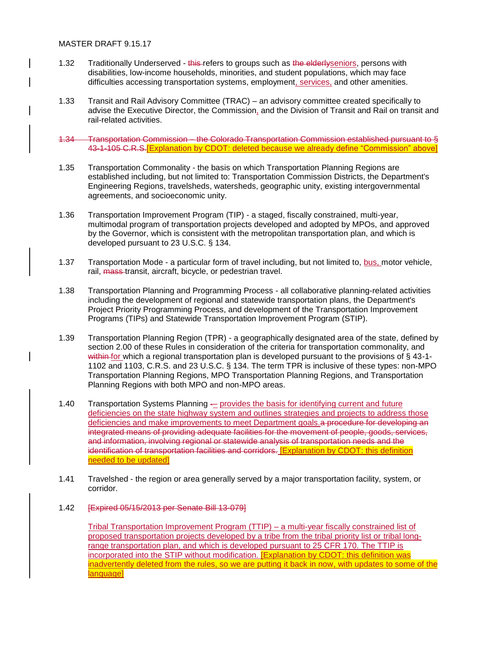- 1.32 Traditionally Underserved this refers to groups such as the elderlyseniors, persons with disabilities, low-income households, minorities, and student populations, which may face difficulties accessing transportation systems, employment, services, and other amenities.
- 1.33 Transit and Rail Advisory Committee (TRAC) an advisory committee created specifically to advise the Executive Director, the Commission, and the Division of Transit and Rail on transit and rail-related activities.
- 1.34 Transportation Commission the Colorado Transportation Commission established pursuant to § 43-1-105 C.R.S.[Explanation by CDOT: deleted because we already define "Commission" above]
- 1.35 Transportation Commonality the basis on which Transportation Planning Regions are established including, but not limited to: Transportation Commission Districts, the Department's Engineering Regions, travelsheds, watersheds, geographic unity, existing intergovernmental agreements, and socioeconomic unity.
- 1.36 Transportation Improvement Program (TIP) a staged, fiscally constrained, multi-year, multimodal program of transportation projects developed and adopted by MPOs, and approved by the Governor, which is consistent with the metropolitan transportation plan, and which is developed pursuant to 23 U.S.C. § 134.
- 1.37 Transportation Mode a particular form of travel including, but not limited to, bus, motor vehicle, rail, mass-transit, aircraft, bicycle, or pedestrian travel.
- 1.38 Transportation Planning and Programming Process all collaborative planning-related activities including the development of regional and statewide transportation plans, the Department's Project Priority Programming Process, and development of the Transportation Improvement Programs (TIPs) and Statewide Transportation Improvement Program (STIP).
- 1.39 Transportation Planning Region (TPR) a geographically designated area of the state, defined by section 2.00 of these Rules in consideration of the criteria for transportation commonality, and within for which a regional transportation plan is developed pursuant to the provisions of  $\S$  43-1-1102 and 1103, C.R.S. and 23 U.S.C. § 134. The term TPR is inclusive of these types: non-MPO Transportation Planning Regions, MPO Transportation Planning Regions, and Transportation Planning Regions with both MPO and non-MPO areas.
- 1.40 Transportation Systems Planning provides the basis for identifying current and future deficiencies on the state highway system and outlines strategies and projects to address those deficiencies and make improvements to meet Department goals. a procedure for developing an integrated means of providing adequate facilities for the movement of people, goods, services, and information, involving regional or statewide analysis of transportation needs and the identification of transportation facilities and corridors. [Explanation by CDOT: this definition needed to be updated]
- 1.41 Travelshed the region or area generally served by a major transportation facility, system, or corridor.
- 1.42 [Expired 05/15/2013 per Senate Bill 13-079]

Tribal Transportation Improvement Program (TTIP) – a multi-year fiscally constrained list of proposed transportation projects developed by a tribe from the tribal priority list or tribal longrange transportation plan, and which is developed pursuant to 25 CFR 170. The TTIP is incorporated into the STIP without modification. [Explanation by CDOT: this definition was inadvertently deleted from the rules, so we are putting it back in now, with updates to some of the language]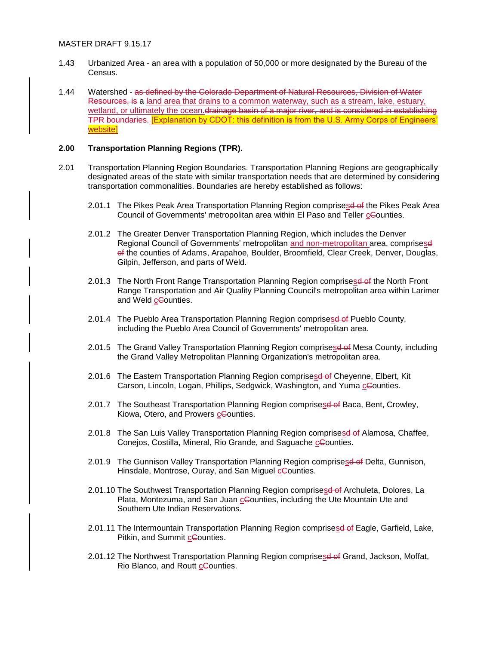- 1.43 Urbanized Area an area with a population of 50,000 or more designated by the Bureau of the Census.
- 1.44 Watershed as defined by the Colorado Department of Natural Resources, Division of Water Resources, is a land area that drains to a common waterway, such as a stream, lake, estuary, wetland, or ultimately the ocean.drainage basin of a major river, and is considered in establishing TPR boundaries. [Explanation by CDOT: this definition is from the U.S. Army Corps of Engineers' website]

#### **2.00 Transportation Planning Regions (TPR).**

- 2.01 Transportation Planning Region Boundaries. Transportation Planning Regions are geographically designated areas of the state with similar transportation needs that are determined by considering transportation commonalities. Boundaries are hereby established as follows:
	- 2.01.1 The Pikes Peak Area Transportation Planning Region comprisesd of the Pikes Peak Area Council of Governments' metropolitan area within El Paso and Teller cCounties.
	- 2.01.2 The Greater Denver Transportation Planning Region, which includes the Denver Regional Council of Governments' metropolitan and non-metropolitan area, comprisesd of the counties of Adams, Arapahoe, Boulder, Broomfield, Clear Creek, Denver, Douglas, Gilpin, Jefferson, and parts of Weld.
	- 2.01.3 The North Front Range Transportation Planning Region comprisesd of the North Front Range Transportation and Air Quality Planning Council's metropolitan area within Larimer and Weld cCounties.
	- 2.01.4 The Pueblo Area Transportation Planning Region comprisesd of Pueblo County, including the Pueblo Area Council of Governments' metropolitan area.
	- 2.01.5 The Grand Valley Transportation Planning Region comprises def Mesa County, including the Grand Valley Metropolitan Planning Organization's metropolitan area.
	- 2.01.6 The Eastern Transportation Planning Region comprisesd of Cheyenne, Elbert, Kit Carson, Lincoln, Logan, Phillips, Sedgwick, Washington, and Yuma cCounties.
	- 2.01.7 The Southeast Transportation Planning Region comprisese of Baca, Bent, Crowley, Kiowa, Otero, and Prowers cCounties.
	- 2.01.8 The San Luis Valley Transportation Planning Region comprises of Alamosa, Chaffee, Conejos, Costilla, Mineral, Rio Grande, and Saguache cCounties.
	- 2.01.9 The Gunnison Valley Transportation Planning Region comprises defined belta, Gunnison, Hinsdale, Montrose, Ouray, and San Miguel cCounties.
	- 2.01.10 The Southwest Transportation Planning Region comprisesd of Archuleta, Dolores, La Plata, Montezuma, and San Juan cCounties, including the Ute Mountain Ute and Southern Ute Indian Reservations.
	- 2.01.11 The Intermountain Transportation Planning Region comprisesd of Eagle, Garfield, Lake, Pitkin, and Summit cCounties.
	- 2.01.12 The Northwest Transportation Planning Region comprises of Grand, Jackson, Moffat, Rio Blanco, and Routt cCounties.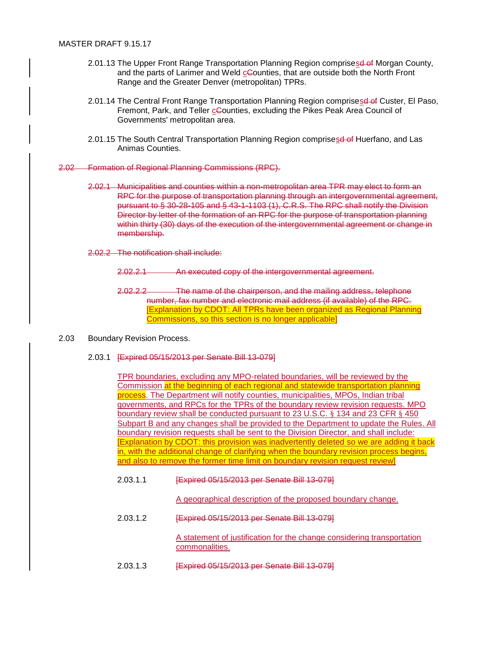- 2.01.13 The Upper Front Range Transportation Planning Region comprisesd of Morgan County, and the parts of Larimer and Weld cCounties, that are outside both the North Front Range and the Greater Denver (metropolitan) TPRs.
- 2.01.14 The Central Front Range Transportation Planning Region comprises of Custer, El Paso, Fremont, Park, and Teller cCounties, excluding the Pikes Peak Area Council of Governments' metropolitan area.
- 2.01.15 The South Central Transportation Planning Region comprisesd of Huerfano, and Las Animas Counties.
- 2.02 Formation of Regional Planning Commissions (RPC).
	- 2.02.1 Municipalities and counties within a non-metropolitan area TPR may elect to form an RPC for the purpose of transportation planning through an intergovernmental agreement, pursuant to § 30-28-105 and § 43-1-1103 (1), C.R.S. The RPC shall notify the Division Director by letter of the formation of an RPC for the purpose of transportation planning within thirty (30) days of the execution of the intergovernmental agreement or change in membership.
	- 2.02.2 The notification shall include:
		- 2.02.2.1 An executed copy of the intergovernmental agreement.
		- 2.02.2.2 The name of the chairperson, and the mailing address, telephone number, fax number and electronic mail address (if available) of the RPC. [Explanation by CDOT: All TPRs have been organized as Regional Planning Commissions, so this section is no longer applicable]
- 2.03 Boundary Revision Process.
	- 2.03.1 [Expired 05/15/2013 per Senate Bill 13-079]

TPR boundaries, excluding any MPO-related boundaries, will be reviewed by the Commission at the beginning of each regional and statewide transportation planning process. The Department will notify counties, municipalities, MPOs, Indian tribal governments, and RPCs for the TPRs of the boundary review revision requests. MPO boundary review shall be conducted pursuant to 23 U.S.C. § 134 and 23 CFR § 450 Subpart B and any changes shall be provided to the Department to update the Rules. All boundary revision requests shall be sent to the Division Director, and shall include: [Explanation by CDOT: this provision was inadvertently deleted so we are adding it back in, with the additional change of clarifying when the boundary revision process begins, and also to remove the former time limit on boundary revision request review]

2.03.1.1 [Expired 05/15/2013 per Senate Bill 13-079]

A geographical description of the proposed boundary change.

2.03.1.2 [Expired 05/15/2013 per Senate Bill 13-079]

A statement of justification for the change considering transportation commonalities.

2.03.1.3 [Expired 05/15/2013 per Senate Bill 13-079]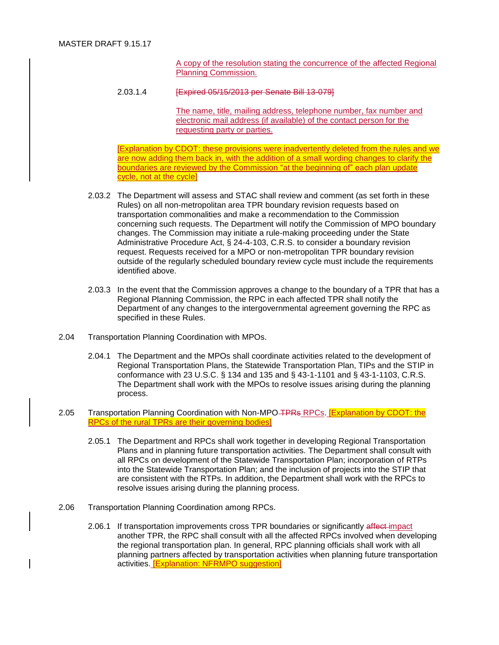A copy of the resolution stating the concurrence of the affected Regional Planning Commission.

2.03.1.4 [Expired 05/15/2013 per Senate Bill 13-079]

The name, title, mailing address, telephone number, fax number and electronic mail address (if available) of the contact person for the requesting party or parties.

[Explanation by CDOT: these provisions were inadvertently deleted from the rules and we are now adding them back in, with the addition of a small wording changes to clarify the boundaries are reviewed by the Commission "at the beginning of" each plan update cycle, not at the cycle]

- 2.03.2 The Department will assess and STAC shall review and comment (as set forth in these Rules) on all non-metropolitan area TPR boundary revision requests based on transportation commonalities and make a recommendation to the Commission concerning such requests. The Department will notify the Commission of MPO boundary changes. The Commission may initiate a rule-making proceeding under the State Administrative Procedure Act, § 24-4-103, C.R.S. to consider a boundary revision request. Requests received for a MPO or non-metropolitan TPR boundary revision outside of the regularly scheduled boundary review cycle must include the requirements identified above.
- 2.03.3 In the event that the Commission approves a change to the boundary of a TPR that has a Regional Planning Commission, the RPC in each affected TPR shall notify the Department of any changes to the intergovernmental agreement governing the RPC as specified in these Rules.
- 2.04 Transportation Planning Coordination with MPOs.
	- 2.04.1 The Department and the MPOs shall coordinate activities related to the development of Regional Transportation Plans, the Statewide Transportation Plan, TIPs and the STIP in conformance with 23 U.S.C. § 134 and 135 and § 43-1-1101 and § 43-1-1103, C.R.S. The Department shall work with the MPOs to resolve issues arising during the planning process.
- 2.05 Transportation Planning Coordination with Non-MPO TPRs RPCs. [Explanation by CDOT: the RPCs of the rural TPRs are their governing bodies]
	- 2.05.1 The Department and RPCs shall work together in developing Regional Transportation Plans and in planning future transportation activities. The Department shall consult with all RPCs on development of the Statewide Transportation Plan; incorporation of RTPs into the Statewide Transportation Plan; and the inclusion of projects into the STIP that are consistent with the RTPs. In addition, the Department shall work with the RPCs to resolve issues arising during the planning process.
- 2.06 Transportation Planning Coordination among RPCs.
	- 2.06.1 If transportation improvements cross TPR boundaries or significantly affect-impact another TPR, the RPC shall consult with all the affected RPCs involved when developing the regional transportation plan. In general, RPC planning officials shall work with all planning partners affected by transportation activities when planning future transportation activities. [Explanation: NFRMPO suggestion]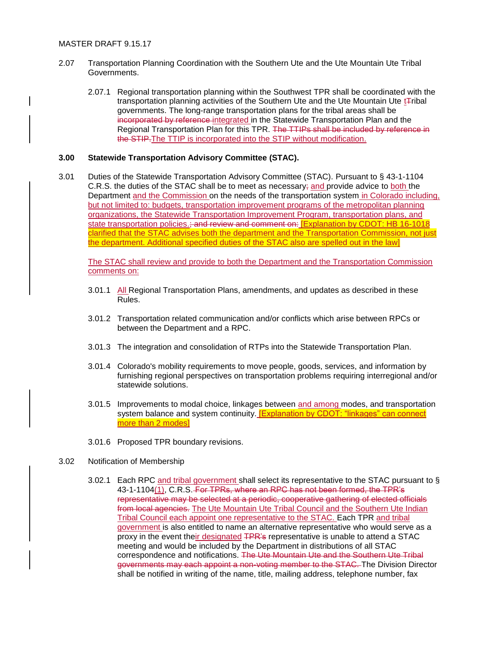- 2.07 Transportation Planning Coordination with the Southern Ute and the Ute Mountain Ute Tribal Governments.
	- 2.07.1 Regional transportation planning within the Southwest TPR shall be coordinated with the transportation planning activities of the Southern Ute and the Ute Mountain Ute t<sub>ribal</sub> governments. The long-range transportation plans for the tribal areas shall be incorporated by reference integrated in the Statewide Transportation Plan and the Regional Transportation Plan for this TPR. The TTIPs shall be included by reference in the STIP.The TTIP is incorporated into the STIP without modification.

# **3.00 Statewide Transportation Advisory Committee (STAC).**

3.01 Duties of the Statewide Transportation Advisory Committee (STAC). Pursuant to § 43-1-1104 C.R.S. the duties of the STAC shall be to meet as necessary; and provide advice to both the Department and the Commission on the needs of the transportation system in Colorado including, but not limited to: budgets, transportation improvement programs of the metropolitan planning organizations, the Statewide Transportation Improvement Program, transportation plans, and state transportation policies.; and review and comment on: **[Explanation by CDOT: HB 16-1018** clarified that the STAC advises both the department and the Transportation Commission, not just the department. Additional specified duties of the STAC also are spelled out in the law]

The STAC shall review and provide to both the Department and the Transportation Commission comments on:

- 3.01.1 All Regional Transportation Plans, amendments, and updates as described in these Rules.
- 3.01.2 Transportation related communication and/or conflicts which arise between RPCs or between the Department and a RPC.
- 3.01.3 The integration and consolidation of RTPs into the Statewide Transportation Plan.
- 3.01.4 Colorado's mobility requirements to move people, goods, services, and information by furnishing regional perspectives on transportation problems requiring interregional and/or statewide solutions.
- 3.01.5 Improvements to modal choice, linkages between and among modes, and transportation system balance and system continuity. **[Explanation by CDOT: "linkages" can connect** more than 2 modes]
- 3.01.6 Proposed TPR boundary revisions.
- 3.02 Notification of Membership
	- 3.02.1 Each RPC and tribal government shall select its representative to the STAC pursuant to § 43-1-1104(1), C.R.S. For TPRs, where an RPC has not been formed, the TPR's representative may be selected at a periodic, cooperative gathering of elected officials from local agencies. The Ute Mountain Ute Tribal Council and the Southern Ute Indian Tribal Council each appoint one representative to the STAC. Each TPR and tribal government is also entitled to name an alternative representative who would serve as a proxy in the event their designated TPR's representative is unable to attend a STAC meeting and would be included by the Department in distributions of all STAC correspondence and notifications. The Ute Mountain Ute and the Southern Ute Tribal governments may each appoint a non-voting member to the STAC. The Division Director shall be notified in writing of the name, title, mailing address, telephone number, fax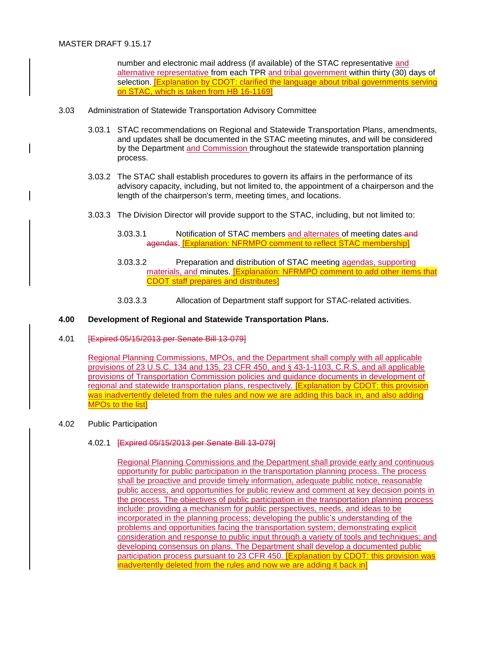number and electronic mail address (if available) of the STAC representative and alternative representative from each TPR and tribal government within thirty (30) days of selection. [Explanation by CDOT: clarified the language about tribal governments serving on STAC, which is taken from HB 16-1169]

- 3.03 Administration of Statewide Transportation Advisory Committee
	- 3.03.1 STAC recommendations on Regional and Statewide Transportation Plans, amendments, and updates shall be documented in the STAC meeting minutes, and will be considered by the Department and Commission throughout the statewide transportation planning process.
	- 3.03.2 The STAC shall establish procedures to govern its affairs in the performance of its advisory capacity, including, but not limited to, the appointment of a chairperson and the length of the chairperson's term, meeting times, and locations.
	- 3.03.3 The Division Director will provide support to the STAC, including, but not limited to:
		- 3.03.3.1 Notification of STAC members and alternates of meeting dates and agendas. [Explanation: NFRMPO comment to reflect STAC membership]
		- 3.03.3.2 Preparation and distribution of STAC meeting agendas, supporting materials, and minutes. [Explanation: NFRMPO comment to add other items that CDOT staff prepares and distributes]
		- 3.03.3.3 Allocation of Department staff support for STAC-related activities.

# **4.00 Development of Regional and Statewide Transportation Plans.**

4.01 [Expired 05/15/2013 per Senate Bill 13-079]

Regional Planning Commissions, MPOs, and the Department shall comply with all applicable provisions of 23 U.S.C. 134 and 135, 23 CFR 450, and § 43-1-1103, C.R.S. and all applicable provisions of Transportation Commission policies and guidance documents in development of regional and statewide transportation plans, respectively. [Explanation by CDOT: this provision was inadvertently deleted from the rules and now we are adding this back in, and also adding MPOs to the list]

#### 4.02 Public Participation

#### 4.02.1 [Expired 05/15/2013 per Senate Bill 13-079]

Regional Planning Commissions and the Department shall provide early and continuous opportunity for public participation in the transportation planning process. The process shall be proactive and provide timely information, adequate public notice, reasonable public access, and opportunities for public review and comment at key decision points in the process. The objectives of public participation in the transportation planning process include: providing a mechanism for public perspectives, needs, and ideas to be incorporated in the planning process; developing the public's understanding of the problems and opportunities facing the transportation system; demonstrating explicit consideration and response to public input through a variety of tools and techniques; and developing consensus on plans. The Department shall develop a documented public participation process pursuant to 23 CFR 450. [Explanation by CDOT: this provision was inadvertently deleted from the rules and now we are adding it back in]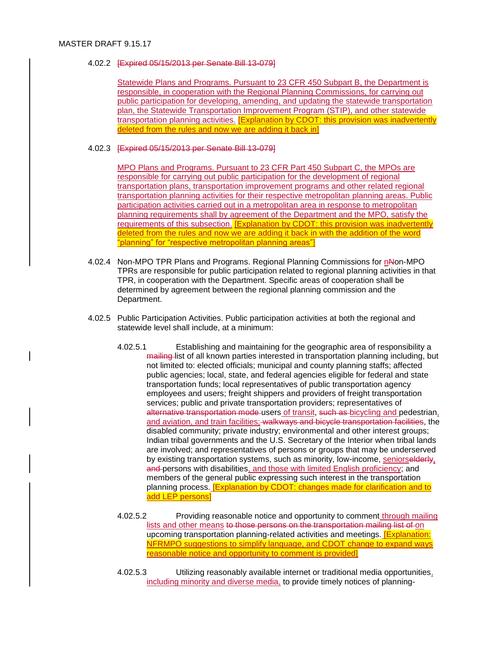# 4.02.2 [Expired 05/15/2013 per Senate Bill 13-079]

Statewide Plans and Programs. Pursuant to 23 CFR 450 Subpart B, the Department is responsible, in cooperation with the Regional Planning Commissions, for carrying out public participation for developing, amending, and updating the statewide transportation plan, the Statewide Transportation Improvement Program (STIP), and other statewide transportation planning activities. **[Explanation by CDOT: this provision was inadvertently** deleted from the rules and now we are adding it back in]

# 4.02.3 [Expired 05/15/2013 per Senate Bill 13-079]

MPO Plans and Programs. Pursuant to 23 CFR Part 450 Subpart C, the MPOs are responsible for carrying out public participation for the development of regional transportation plans, transportation improvement programs and other related regional transportation planning activities for their respective metropolitan planning areas. Public participation activities carried out in a metropolitan area in response to metropolitan planning requirements shall by agreement of the Department and the MPO, satisfy the requirements of this subsection. **[Explanation by CDOT: this provision was inadvertently** deleted from the rules and now we are adding it back in with the addition of the word "planning" for "respective metropolitan planning areas"]

- 4.02.4 Non-MPO TPR Plans and Programs. Regional Planning Commissions for nNon-MPO TPRs are responsible for public participation related to regional planning activities in that TPR, in cooperation with the Department. Specific areas of cooperation shall be determined by agreement between the regional planning commission and the Department.
- 4.02.5 Public Participation Activities. Public participation activities at both the regional and statewide level shall include, at a minimum:
	- 4.02.5.1 Establishing and maintaining for the geographic area of responsibility a mailing list of all known parties interested in transportation planning including, but not limited to: elected officials; municipal and county planning staffs; affected public agencies; local, state, and federal agencies eligible for federal and state transportation funds; local representatives of public transportation agency employees and users; freight shippers and providers of freight transportation services; public and private transportation providers; representatives of alternative transportation mode users of transit, such as bicycling and pedestrian, and aviation, and train facilities; walkways and bicycle transportation facilities, the disabled community; private industry; environmental and other interest groups; Indian tribal governments and the U.S. Secretary of the Interior when tribal lands are involved; and representatives of persons or groups that may be underserved by existing transportation systems, such as minority, low-income, seniorselderly, and persons with disabilities, and those with limited English proficiency; and members of the general public expressing such interest in the transportation planning process. [Explanation by CDOT: changes made for clarification and to add LEP persons]
	- 4.02.5.2 Providing reasonable notice and opportunity to comment through mailing lists and other means to those persons on the transportation mailing list of on upcoming transportation planning-related activities and meetings. **[Explanation:** NFRMPO suggestions to simplify language, and CDOT change to expand ways reasonable notice and opportunity to comment is provided]
	- 4.02.5.3 Utilizing reasonably available internet or traditional media opportunities, including minority and diverse media, to provide timely notices of planning-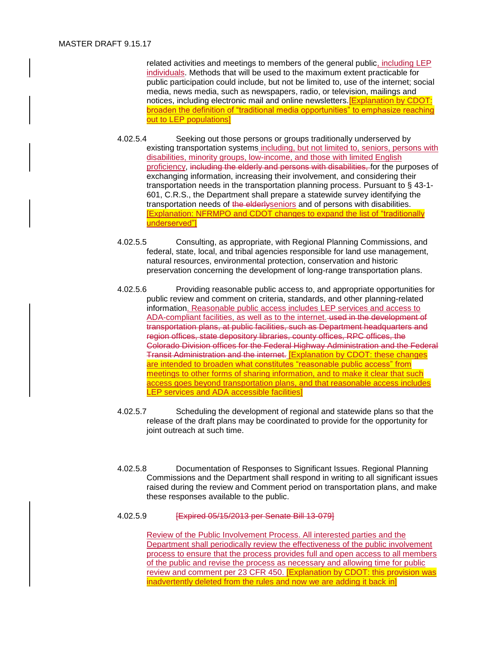related activities and meetings to members of the general public, including LEP individuals. Methods that will be used to the maximum extent practicable for public participation could include, but not be limited to, use of the internet; social media, news media, such as newspapers, radio, or television, mailings and notices, including electronic mail and online newsletters.[Explanation by CDOT: broaden the definition of "traditional media opportunities" to emphasize reaching out to LEP populations]

- 4.02.5.4 Seeking out those persons or groups traditionally underserved by existing transportation systems including, but not limited to, seniors, persons with disabilities, minority groups, low-income, and those with limited English proficiency, including the elderly and persons with disabilities, for the purposes of exchanging information, increasing their involvement, and considering their transportation needs in the transportation planning process. Pursuant to § 43-1- 601, C.R.S., the Department shall prepare a statewide survey identifying the transportation needs of the elderlyseniors and of persons with disabilities. [Explanation: NFRMPO and CDOT changes to expand the list of "traditionally underserved"]
- 4.02.5.5 Consulting, as appropriate, with Regional Planning Commissions, and federal, state, local, and tribal agencies responsible for land use management, natural resources, environmental protection, conservation and historic preservation concerning the development of long-range transportation plans.
- 4.02.5.6 Providing reasonable public access to, and appropriate opportunities for public review and comment on criteria, standards, and other planning-related information. Reasonable public access includes LEP services and access to ADA-compliant facilities, as well as to the internet. used in the development of transportation plans, at public facilities, such as Department headquarters and region offices, state depository libraries, county offices, RPC offices, the Colorado Division offices for the Federal Highway Administration and the Federal Transit Administration and the internet. [Explanation by CDOT: these changes are intended to broaden what constitutes "reasonable public access" from meetings to other forms of sharing information, and to make it clear that such access goes beyond transportation plans, and that reasonable access includes LEP services and ADA accessible facilities]
- 4.02.5.7 Scheduling the development of regional and statewide plans so that the release of the draft plans may be coordinated to provide for the opportunity for joint outreach at such time.
- 4.02.5.8 Documentation of Responses to Significant Issues. Regional Planning Commissions and the Department shall respond in writing to all significant issues raised during the review and Comment period on transportation plans, and make these responses available to the public.

# 4.02.5.9 [Expired 05/15/2013 per Senate Bill 13-079]

Review of the Public Involvement Process. All interested parties and the Department shall periodically review the effectiveness of the public involvement process to ensure that the process provides full and open access to all members of the public and revise the process as necessary and allowing time for public review and comment per 23 CFR 450. [Explanation by CDOT: this provision was inadvertently deleted from the rules and now we are adding it back in]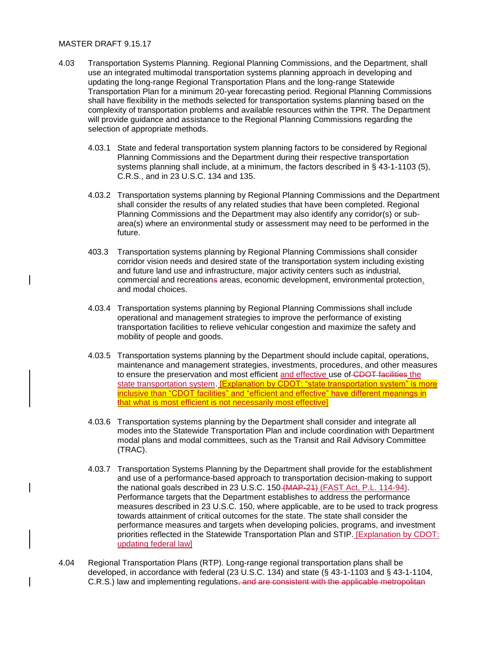### MASTER DRAFT 9.15.17

- 4.03 Transportation Systems Planning. Regional Planning Commissions, and the Department, shall use an integrated multimodal transportation systems planning approach in developing and updating the long-range Regional Transportation Plans and the long-range Statewide Transportation Plan for a minimum 20-year forecasting period. Regional Planning Commissions shall have flexibility in the methods selected for transportation systems planning based on the complexity of transportation problems and available resources within the TPR. The Department will provide guidance and assistance to the Regional Planning Commissions regarding the selection of appropriate methods.
	- 4.03.1 State and federal transportation system planning factors to be considered by Regional Planning Commissions and the Department during their respective transportation systems planning shall include, at a minimum, the factors described in § 43-1-1103 (5), C.R.S., and in 23 U.S.C. 134 and 135.
	- 4.03.2 Transportation systems planning by Regional Planning Commissions and the Department shall consider the results of any related studies that have been completed. Regional Planning Commissions and the Department may also identify any corridor(s) or subarea(s) where an environmental study or assessment may need to be performed in the future.
	- 403.3 Transportation systems planning by Regional Planning Commissions shall consider corridor vision needs and desired state of the transportation system including existing and future land use and infrastructure, major activity centers such as industrial, commercial and recreations areas, economic development, environmental protection, and modal choices.
	- 4.03.4 Transportation systems planning by Regional Planning Commissions shall include operational and management strategies to improve the performance of existing transportation facilities to relieve vehicular congestion and maximize the safety and mobility of people and goods.
	- 4.03.5 Transportation systems planning by the Department should include capital, operations, maintenance and management strategies, investments, procedures, and other measures to ensure the preservation and most efficient and effective use of CDOT facilities the state transportation system. **[Explanation by CDOT: "state transportation system"** is more inclusive than "CDOT facilities" and "efficient and effective" have different meanings in that what is most efficient is not necessarily most effective]
	- 4.03.6 Transportation systems planning by the Department shall consider and integrate all modes into the Statewide Transportation Plan and include coordination with Department modal plans and modal committees, such as the Transit and Rail Advisory Committee (TRAC).
	- 4.03.7 Transportation Systems Planning by the Department shall provide for the establishment and use of a performance-based approach to transportation decision-making to support the national goals described in 23 U.S.C. 150 (MAP-21) (FAST Act, P.L. 114-94). Performance targets that the Department establishes to address the performance measures described in 23 U.S.C. 150, where applicable, are to be used to track progress towards attainment of critical outcomes for the state. The state shall consider the performance measures and targets when developing policies, programs, and investment priorities reflected in the Statewide Transportation Plan and STIP. [Explanation by CDOT: updating federal law]
- 4.04 Regional Transportation Plans (RTP). Long-range regional transportation plans shall be developed, in accordance with federal (23 U.S.C. 134) and state (§ 43-1-1103 and § 43-1-1104, C.R.S.) law and implementing regulations, and are consistent with the applicable metropolitan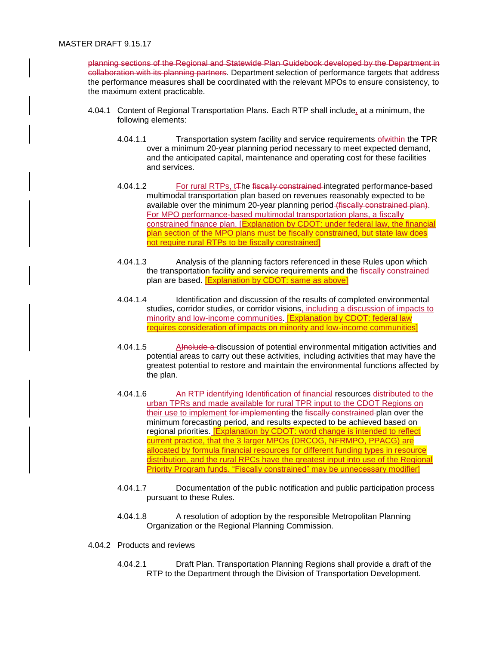planning sections of the Regional and Statewide Plan Guidebook developed by the Department in collaboration with its planning partners. Department selection of performance targets that address the performance measures shall be coordinated with the relevant MPOs to ensure consistency, to the maximum extent practicable.

- 4.04.1 Content of Regional Transportation Plans. Each RTP shall include, at a minimum, the following elements:
	- 4.04.1.1 Transportation system facility and service requirements ofwithin the TPR over a minimum 20-year planning period necessary to meet expected demand, and the anticipated capital, maintenance and operating cost for these facilities and services.
	- 4.04.1.2 For rural RTPs, t<sub>The fiscally constrained</sub> integrated performance-based multimodal transportation plan based on revenues reasonably expected to be available over the minimum 20-year planning period (fiscally constrained plan). For MPO performance-based multimodal transportation plans, a fiscally constrained finance plan. [Explanation by CDOT: under federal law, the financial plan section of the MPO plans must be fiscally constrained, but state law does not require rural RTPs to be fiscally constrained]
	- 4.04.1.3 Analysis of the planning factors referenced in these Rules upon which the transportation facility and service requirements and the fiscally constrained plan are based. [Explanation by CDOT: same as above]
	- 4.04.1.4 Identification and discussion of the results of completed environmental studies, corridor studies, or corridor visions, including a discussion of impacts to minority and low-income communities. [Explanation by CDOT: federal law requires consideration of impacts on minority and low-income communities]
	- 4.04.1.5 AInclude a discussion of potential environmental mitigation activities and potential areas to carry out these activities, including activities that may have the greatest potential to restore and maintain the environmental functions affected by the plan.
	- 4.04.1.6 An RTP identifying Identification of financial resources distributed to the urban TPRs and made available for rural TPR input to the CDOT Regions on their use to implement for implementing the fiscally constrained plan over the minimum forecasting period, and results expected to be achieved based on regional priorities. [Explanation by CDOT: word change is intended to reflect current practice, that the 3 larger MPOs (DRCOG, NFRMPO, PPACG) are allocated by formula financial resources for different funding types in resource distribution, and the rural RPCs have the greatest input into use of the Regional Priority Program funds. "Fiscally constrained" may be unnecessary modifier]
	- 4.04.1.7 Documentation of the public notification and public participation process pursuant to these Rules.
	- 4.04.1.8 A resolution of adoption by the responsible Metropolitan Planning Organization or the Regional Planning Commission.
- 4.04.2 Products and reviews
	- 4.04.2.1 Draft Plan. Transportation Planning Regions shall provide a draft of the RTP to the Department through the Division of Transportation Development.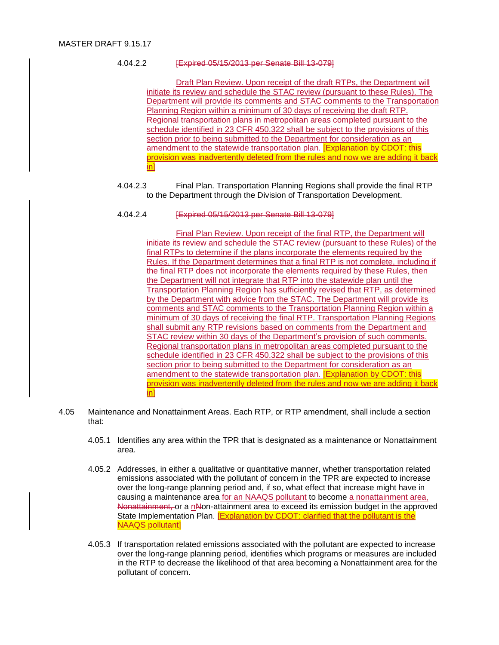# 4.04.2.2 [Expired 05/15/2013 per Senate Bill 13-079]

Draft Plan Review. Upon receipt of the draft RTPs, the Department will initiate its review and schedule the STAC review (pursuant to these Rules). The Department will provide its comments and STAC comments to the Transportation Planning Region within a minimum of 30 days of receiving the draft RTP. Regional transportation plans in metropolitan areas completed pursuant to the schedule identified in 23 CFR 450.322 shall be subject to the provisions of this section prior to being submitted to the Department for consideration as an amendment to the statewide transportation plan. [Explanation by CDOT: this provision was inadvertently deleted from the rules and now we are adding it back in]

4.04.2.3 Final Plan. Transportation Planning Regions shall provide the final RTP to the Department through the Division of Transportation Development.

### 4.04.2.4 [Expired 05/15/2013 per Senate Bill 13-079]

Final Plan Review. Upon receipt of the final RTP, the Department will initiate its review and schedule the STAC review (pursuant to these Rules) of the final RTPs to determine if the plans incorporate the elements required by the Rules. If the Department determines that a final RTP is not complete, including if the final RTP does not incorporate the elements required by these Rules, then the Department will not integrate that RTP into the statewide plan until the Transportation Planning Region has sufficiently revised that RTP, as determined by the Department with advice from the STAC. The Department will provide its comments and STAC comments to the Transportation Planning Region within a minimum of 30 days of receiving the final RTP. Transportation Planning Regions shall submit any RTP revisions based on comments from the Department and STAC review within 30 days of the Department's provision of such comments. Regional transportation plans in metropolitan areas completed pursuant to the schedule identified in 23 CFR 450.322 shall be subject to the provisions of this section prior to being submitted to the Department for consideration as an amendment to the statewide transportation plan. [Explanation by CDOT: this provision was inadvertently deleted from the rules and now we are adding it back in]

- 4.05 Maintenance and Nonattainment Areas. Each RTP, or RTP amendment, shall include a section that:
	- 4.05.1 Identifies any area within the TPR that is designated as a maintenance or Nonattainment area.
	- 4.05.2 Addresses, in either a qualitative or quantitative manner, whether transportation related emissions associated with the pollutant of concern in the TPR are expected to increase over the long-range planning period and, if so, what effect that increase might have in causing a maintenance area for an NAAQS pollutant to become a nonattainment area, Nonattainment, or a nNon-attainment area to exceed its emission budget in the approved State Implementation Plan. [Explanation by CDOT: clarified that the pollutant is the NAAQS pollutant]
	- 4.05.3 If transportation related emissions associated with the pollutant are expected to increase over the long-range planning period, identifies which programs or measures are included in the RTP to decrease the likelihood of that area becoming a Nonattainment area for the pollutant of concern.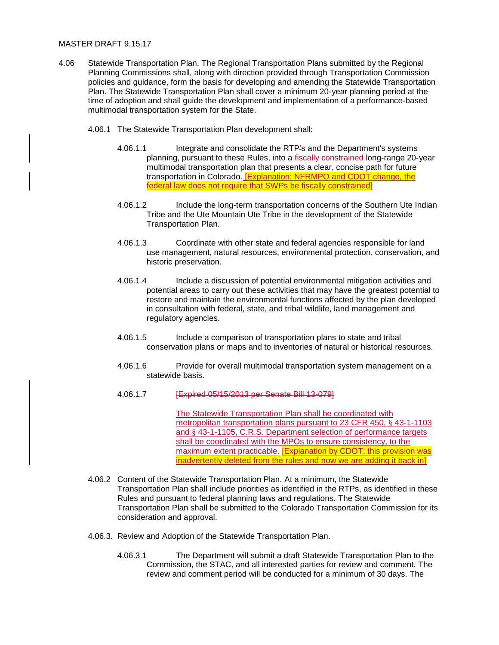#### MASTER DRAFT 9.15.17

- 4.06 Statewide Transportation Plan. The Regional Transportation Plans submitted by the Regional Planning Commissions shall, along with direction provided through Transportation Commission policies and guidance, form the basis for developing and amending the Statewide Transportation Plan. The Statewide Transportation Plan shall cover a minimum 20-year planning period at the time of adoption and shall guide the development and implementation of a performance-based multimodal transportation system for the State.
	- 4.06.1 The Statewide Transportation Plan development shall:
		- 4.06.1.1 Integrate and consolidate the RTP's and the Department's systems planning, pursuant to these Rules, into a fiscally constrained long-range 20-year multimodal transportation plan that presents a clear, concise path for future transportation in Colorado. [Explanation: NFRMPO and CDOT change, the federal law does not require that SWPs be fiscally constrained]
		- 4.06.1.2 Include the long-term transportation concerns of the Southern Ute Indian Tribe and the Ute Mountain Ute Tribe in the development of the Statewide Transportation Plan.
		- 4.06.1.3 Coordinate with other state and federal agencies responsible for land use management, natural resources, environmental protection, conservation, and historic preservation.
		- 4.06.1.4 Include a discussion of potential environmental mitigation activities and potential areas to carry out these activities that may have the greatest potential to restore and maintain the environmental functions affected by the plan developed in consultation with federal, state, and tribal wildlife, land management and regulatory agencies.
		- 4.06.1.5 Include a comparison of transportation plans to state and tribal conservation plans or maps and to inventories of natural or historical resources.
		- 4.06.1.6 Provide for overall multimodal transportation system management on a statewide basis.
		- 4.06.1.7 [Expired 05/15/2013 per Senate Bill 13-079]

The Statewide Transportation Plan shall be coordinated with metropolitan transportation plans pursuant to 23 CFR 450, § 43-1-1103 and § 43-1-1105, C.R.S. Department selection of performance targets shall be coordinated with the MPOs to ensure consistency, to the maximum extent practicable. **[Explanation by CDOT: this provision was** inadvertently deleted from the rules and now we are adding it back in]

- 4.06.2 Content of the Statewide Transportation Plan. At a minimum, the Statewide Transportation Plan shall include priorities as identified in the RTPs, as identified in these Rules and pursuant to federal planning laws and regulations. The Statewide Transportation Plan shall be submitted to the Colorado Transportation Commission for its consideration and approval.
- 4.06.3. Review and Adoption of the Statewide Transportation Plan.
	- 4.06.3.1 The Department will submit a draft Statewide Transportation Plan to the Commission, the STAC, and all interested parties for review and comment. The review and comment period will be conducted for a minimum of 30 days. The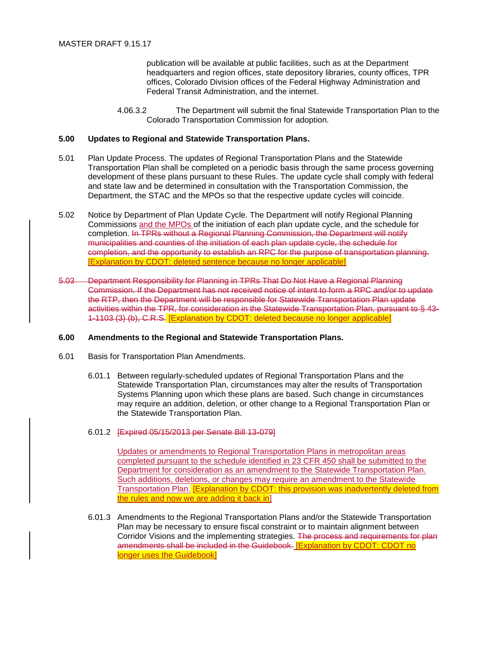publication will be available at public facilities, such as at the Department headquarters and region offices, state depository libraries, county offices, TPR offices, Colorado Division offices of the Federal Highway Administration and Federal Transit Administration, and the internet.

4.06.3.2 The Department will submit the final Statewide Transportation Plan to the Colorado Transportation Commission for adoption.

# **5.00 Updates to Regional and Statewide Transportation Plans.**

- 5.01 Plan Update Process. The updates of Regional Transportation Plans and the Statewide Transportation Plan shall be completed on a periodic basis through the same process governing development of these plans pursuant to these Rules. The update cycle shall comply with federal and state law and be determined in consultation with the Transportation Commission, the Department, the STAC and the MPOs so that the respective update cycles will coincide.
- 5.02 Notice by Department of Plan Update Cycle. The Department will notify Regional Planning Commissions and the MPOs of the initiation of each plan update cycle, and the schedule for completion. In TPRs without a Regional Planning Commission, the Department will notify municipalities and counties of the initiation of each plan update cycle, the schedule for completion, and the opportunity to establish an RPC for the purpose of transportation planning. [Explanation by CDOT: deleted sentence because no longer applicable]
- 5.03 Department Responsibility for Planning in TPRs That Do Not Have a Regional Planning Commission. If the Department has not received notice of intent to form a RPC and/or to update the RTP, then the Department will be responsible for Statewide Transportation Plan update activities within the TPR, for consideration in the Statewide Transportation Plan, pursuant to § 43- 1-1103 (3) (b), C.R.S. [Explanation by CDOT: deleted because no longer applicable]

#### **6.00 Amendments to the Regional and Statewide Transportation Plans.**

- 6.01 Basis for Transportation Plan Amendments.
	- 6.01.1 Between regularly-scheduled updates of Regional Transportation Plans and the Statewide Transportation Plan, circumstances may alter the results of Transportation Systems Planning upon which these plans are based. Such change in circumstances may require an addition, deletion, or other change to a Regional Transportation Plan or the Statewide Transportation Plan.
	- 6.01.2 [Expired 05/15/2013 per Senate Bill 13-079]

Updates or amendments to Regional Transportation Plans in metropolitan areas completed pursuant to the schedule identified in 23 CFR 450 shall be submitted to the Department for consideration as an amendment to the Statewide Transportation Plan. Such additions, deletions, or changes may require an amendment to the Statewide Transportation Plan. [Explanation by CDOT: this provision was inadvertently deleted from the rules and now we are adding it back in

6.01.3 Amendments to the Regional Transportation Plans and/or the Statewide Transportation Plan may be necessary to ensure fiscal constraint or to maintain alignment between Corridor Visions and the implementing strategies. The process and requirements for plan amendments shall be included in the Guidebook. [Explanation by CDOT: CDOT no longer uses the Guidebook]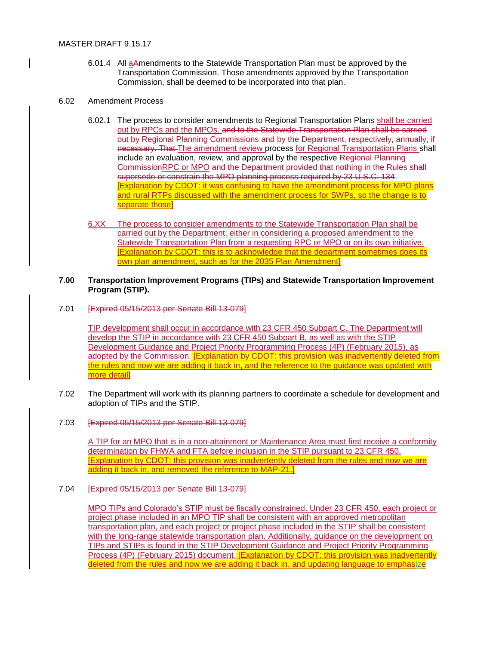- 6.01.4 All aAmendments to the Statewide Transportation Plan must be approved by the Transportation Commission. Those amendments approved by the Transportation Commission, shall be deemed to be incorporated into that plan.
- 6.02 Amendment Process
	- 6.02.1 The process to consider amendments to Regional Transportation Plans shall be carried out by RPCs and the MPOs. and to the Statewide Transportation Plan shall be carried out by Regional Planning Commissions and by the Department, respectively, annually, if necessary. That The amendment review process for Regional Transportation Plans shall include an evaluation, review, and approval by the respective Regional Planning CommissionRPC or MPO and the Department provided that nothing in the Rules shall supersede or constrain the MPO planning process required by 23 U.S.C. 134. [Explanation by CDOT: it was confusing to have the amendment process for MPO plans and rural RTPs discussed with the amendment process for SWPs, so the change is to separate those]
	- 6.XX The process to consider amendments to the Statewide Transportation Plan shall be carried out by the Department, either in considering a proposed amendment to the Statewide Transportation Plan from a requesting RPC or MPO or on its own initiative. [Explanation by CDOT: this is to acknowledge that the department sometimes does its own plan amendment, such as for the 2035 Plan Amendment]

### **7.00 Transportation Improvement Programs (TIPs) and Statewide Transportation Improvement Program (STIP).**

7.01 [Expired 05/15/2013 per Senate Bill 13-079]

TIP development shall occur in accordance with 23 CFR 450 Subpart C. The Department will develop the STIP in accordance with 23 CFR 450 Subpart B, as well as with the STIP Development Guidance and Project Priority Programming Process (4P) (February 2015), as adopted by the Commission. [Explanation by CDOT: this provision was inadvertently deleted from the rules and now we are adding it back in, and the reference to the guidance was updated with more detail]

- 7.02 The Department will work with its planning partners to coordinate a schedule for development and adoption of TIPs and the STIP.
- 7.03 [Expired 05/15/2013 per Senate Bill 13-079]

A TIP for an MPO that is in a non-attainment or Maintenance Area must first receive a conformity determination by FHWA and FTA before inclusion in the STIP pursuant to 23 CFR 450. **[Explanation by CDOT: this provision was inadvertently deleted from the rules and now we are** adding it back in, and removed the reference to MAP-21.]

7.04 [Expired 05/15/2013 per Senate Bill 13-079]

MPO TIPs and Colorado's STIP must be fiscally constrained. Under 23 CFR 450, each project or project phase included in an MPO TIP shall be consistent with an approved metropolitan transportation plan, and each project or project phase included in the STIP shall be consistent with the long-range statewide transportation plan. Additionally, guidance on the development on TIPs and STIPs is found in the STIP Development Guidance and Project Priority Programming Process (4P) (February 2015) document. **[Explanation by CDOT: this provision was inadvertently** deleted from the rules and now we are adding it back in, and updating language to emphasize